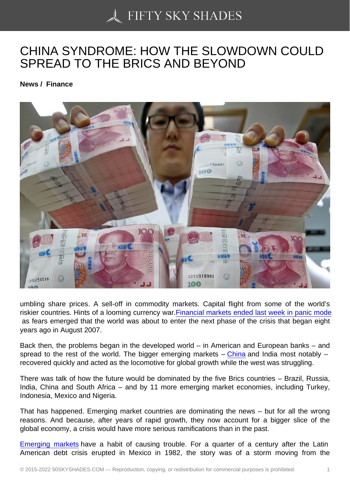# [CHINA SYNDROME: H](https://50skyshades.com)OW THE SLOWDOWN COULD SPREAD TO THE BRICS AND BEYOND

News / Finance

umbling share prices. A sell-off in commodity markets. Capital flight from some of the world's riskier countries. Hints of a looming currency war.Financial markets ended last week in panic mode as fears emerged that the world was about to enter the next phase of the crisis that began eight years ago in August 2007.

Back then, the problems began in the developed [world – in American and European banks – and](http://www.theguardian.com/business/2015/aug/21/us-markets-china-slump-global-sell-off)  spread to the rest of the world. The bigger emerging markets  $-$  China and India most notably  $$ recovered quickly and acted as the locomotive for global growth while the west was struggling.

There was talk of how the future would be dominated by the five Brics countries – Brazil, Russia, India, China and South Africa – and by 11 more emerging mar[ket eco](http://www.theguardian.com/world/china)nomies, including Turkey, Indonesia, Mexico and Nigeria.

That has happened. Emerging market countries are dominating the news – but for all the wrong reasons. And because, after years of rapid growth, they now account for a bigger slice of the global economy, a crisis would have more serious ramifications than in the past.

Emerging markets have a habit of causing trouble. For a quarter of a century after the Latin American debt crisis erupted in Mexico in 1982, the story was of a storm moving from the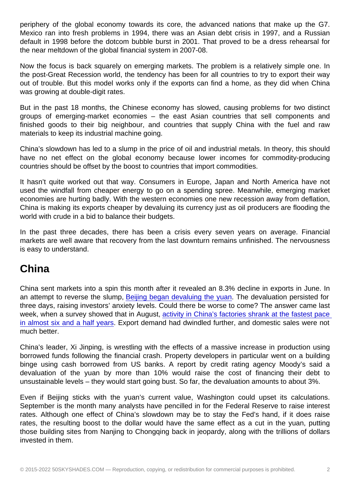Mexico ran into fresh problems in 1994, there was an Asian debt crisis in 1997, and a Russian default in 1998 before the dotcom bubble burst in 2001. That proved to be a dress rehearsal for the near meltdown of the global financial system in 2007-08.

Now the focus is back squarely on emerging markets. The problem is a relatively simple one. In the post-Great Recession world, the tendency has been for all countries to try to export their way out of trouble. But this model works only if the exports can find a home, as they did when China was growing at double-digit rates.

But in the past 18 months, the Chinese economy has slowed, causing problems for two distinct groups of emerging-market economies – the east Asian countries that sell components and finished goods to their big neighbour, and countries that supply China with the fuel and raw materials to keep its industrial machine going.

China's slowdown has led to a slump in the price of oil and industrial metals. In theory, this should have no net effect on the global economy because lower incomes for commodity-producing countries should be offset by the boost to countries that import commodities.

It hasn't quite worked out that way. Consumers in Europe, Japan and North America have not used the windfall from cheaper energy to go on a spending spree. Meanwhile, emerging market economies are hurting badly. With the western economies one new recession away from deflation, China is making its exports cheaper by devaluing its currency just as oil producers are flooding the world with crude in a bid to balance their budgets.

In the past three decades, there has been a crisis every seven years on average. Financial markets are well aware that recovery from the last downturn remains unfinished. The nervousness is easy to understand.

### China

China sent markets into a spin this month after it revealed an 8.3% decline in exports in June. In an attempt to reverse the slump, Beijing began devaluing the yuan. The devaluation persisted for three days, raising investors' anxiety levels. Could there be worse to come? The answer came last week, when a survey showed that in August, activity in China's factories shrank at the fastest pace in almost six and a half years. E[xport demand had dwindled further](http://www.theguardian.com/world/2015/aug/13/china-devalues-yuan-for-third-straight-day-adding-to-fears-of-currency-war), and domestic sales were not much better.

[China's leader, Xi Jinping, is](http://www.theguardian.com/business/2015/aug/21/global-stocks-in-a-tailspin-as-chinese-factory-slump-drags-on-markets) wrestling with t[he effects of a massive increase in production using](http://www.theguardian.com/business/2015/aug/21/global-stocks-in-a-tailspin-as-chinese-factory-slump-drags-on-markets)  borrowed funds following the financial crash. Property developers in particular went on a building binge using cash borrowed from US banks. A report by credit rating agency Moody's said a devaluation of the yuan by more than 10% would raise the cost of financing their debt to unsustainable levels – they would start going bust. So far, the devaluation amounts to about 3%.

Even if Beijing sticks with the yuan's current value, Washington could upset its calculations. September is the month many analysts have pencilled in for the Federal Reserve to raise interest rates. Although one effect of China's slowdown may be to stay the Fed's hand, if it does raise rates, the resulting boost to the dollar would have the same effect as a cut in the yuan, putting those building sites from Nanjing to Chongqing back in jeopardy, along with the trillions of dollars invested in them.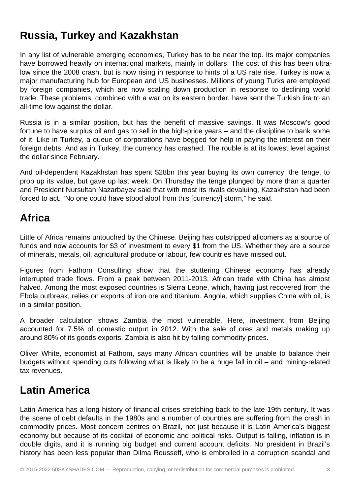### **Russia, Turkey and Kazakhstan**

In any list of vulnerable emerging economies, Turkey has to be near the top. Its major companies have borrowed heavily on international markets, mainly in dollars. The cost of this has been ultralow since the 2008 crash, but is now rising in response to hints of a US rate rise. Turkey is now a major manufacturing hub for European and US businesses. Millions of young Turks are employed by foreign companies, which are now scaling down production in response to declining world trade. These problems, combined with a war on its eastern border, have sent the Turkish lira to an all-time low against the dollar.

Russia is in a similar position, but has the benefit of massive savings. It was Moscow's good fortune to have surplus oil and gas to sell in the high-price years – and the discipline to bank some of it. Like in Turkey, a queue of corporations have begged for help in paying the interest on their foreign debts. And as in Turkey, the currency has crashed. The rouble is at its lowest level against the dollar since February.

And oil-dependent Kazakhstan has spent \$28bn this year buying its own currency, the tenge, to prop up its value, but gave up last week. On Thursday the tenge plunged by more than a quarter and President Nursultan Nazarbayev said that with most its rivals devaluing, Kazakhstan had been forced to act. "No one could have stood aloof from this [currency] storm," he said.

## **Africa**

Little of Africa remains untouched by the Chinese. Beijing has outstripped allcomers as a source of funds and now accounts for \$3 of investment to every \$1 from the US. Whether they are a source of minerals, metals, oil, agricultural produce or labour, few countries have missed out.

Figures from Fathom Consulting show that the stuttering Chinese economy has already interrupted trade flows. From a peak between 2011-2013, African trade with China has almost halved. Among the most exposed countries is Sierra Leone, which, having just recovered from the Ebola outbreak, relies on exports of iron ore and titanium. Angola, which supplies China with oil, is in a similar position.

A broader calculation shows Zambia the most vulnerable. Here, investment from Beijing accounted for 7.5% of domestic output in 2012. With the sale of ores and metals making up around 80% of its goods exports, Zambia is also hit by falling commodity prices.

Oliver White, economist at Fathom, says many African countries will be unable to balance their budgets without spending cuts following what is likely to be a huge fall in oil – and mining-related tax revenues.

## **Latin America**

Latin America has a long history of financial crises stretching back to the late 19th century. It was the scene of debt defaults in the 1980s and a number of countries are suffering from the crash in commodity prices. Most concern centres on Brazil, not just because it is Latin America's biggest economy but because of its cocktail of economic and political risks. Output is falling, inflation is in double digits, and it is running big budget and current account deficits. No president in Brazil's history has been less popular than Dilma Rousseff, who is embroiled in a corruption scandal and